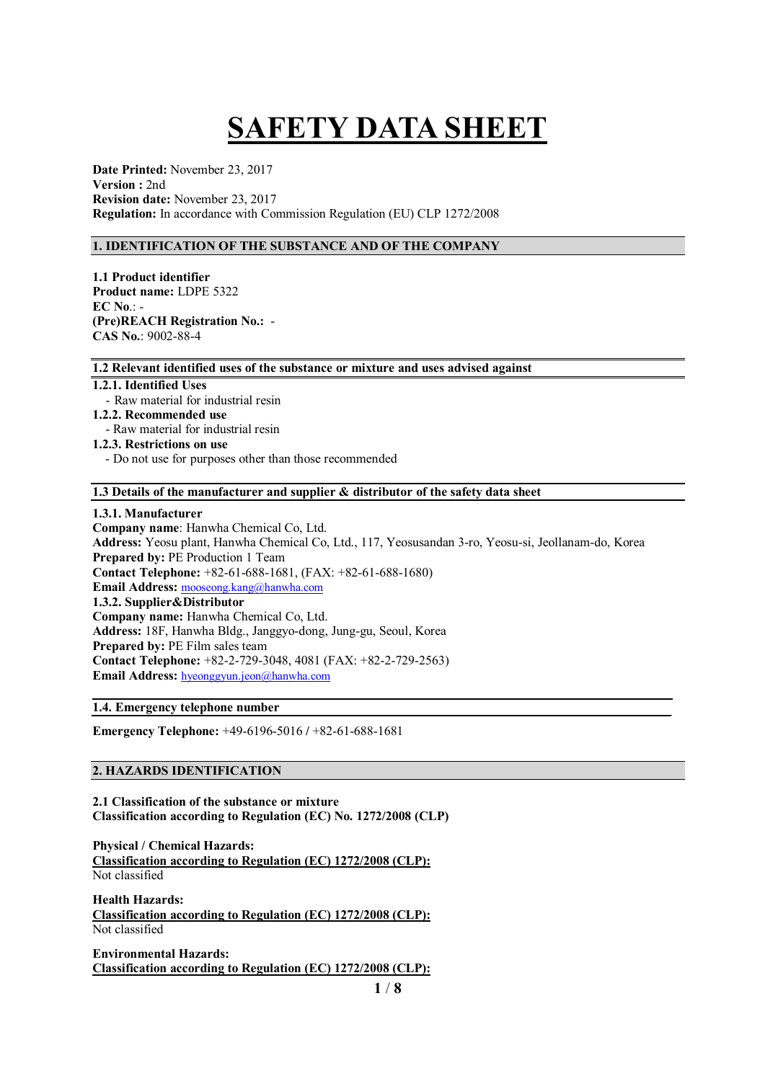# **SAFETY DATA SHEET**

**Date Printed:** November 23, 2017 **Version :** 2nd **Revision date:** November 23, 2017 **Regulation:** In accordance with Commission Regulation (EU) CLP 1272/2008

# **1. IDENTIFICATION OF THE SUBSTANCE AND OF THE COMPANY**

**1.1 Product identifier Product name:** LDPE 5322 **EC No**.: - **(Pre)REACH Registration No.:** - **CAS No.**: 9002-88-4

## **1.2 Relevant identified uses of the substance or mixture and uses advised against**

## **1.2.1. Identified Uses**

- Raw material for industrial resin

# **1.2.2. Recommended use**

- Raw material for industrial resin
- **1.2.3. Restrictions on use**
	- Do not use for purposes other than those recommended

## **1.3 Details of the manufacturer and supplier & distributor of the safety data sheet**

#### **1.3.1. Manufacturer**

**Company name**: Hanwha Chemical Co, Ltd. **Address:** Yeosu plant, Hanwha Chemical Co, Ltd., 117, Yeosusandan 3-ro, Yeosu-si, Jeollanam-do, Korea **Prepared by:** PE Production 1 Team **Contact Telephone:** +82-61-688-1681, (FAX: +82-61-688-1680) **Email Address:** mooseong.kang@hanwha.com **1.3.2. Supplier&Distributor Company name:** Hanwha Chemical Co, Ltd. **Address:** 18F, Hanwha Bldg., Janggyo-dong, Jung-gu, Seoul, Korea **Prepared by:** PE Film sales team **Contact Telephone:** +82-2-729-3048, 4081 (FAX: +82-2-729-2563) **Email Address:** hyeonggyun.jeon@hanwha.com

#### **1.4. Emergency telephone number**

**Emergency Telephone:** +49-6196-5016 **/** +82-61-688-1681

# **2. HAZARDS IDENTIFICATION**

**2.1 Classification of the substance or mixture Classification according to Regulation (EC) No. 1272/2008 (CLP)**

**Physical / Chemical Hazards: Classification according to Regulation (EC) 1272/2008 (CLP):** Not classified

**Health Hazards: Classification according to Regulation (EC) 1272/2008 (CLP):** Not classified

**Environmental Hazards: Classification according to Regulation (EC) 1272/2008 (CLP):**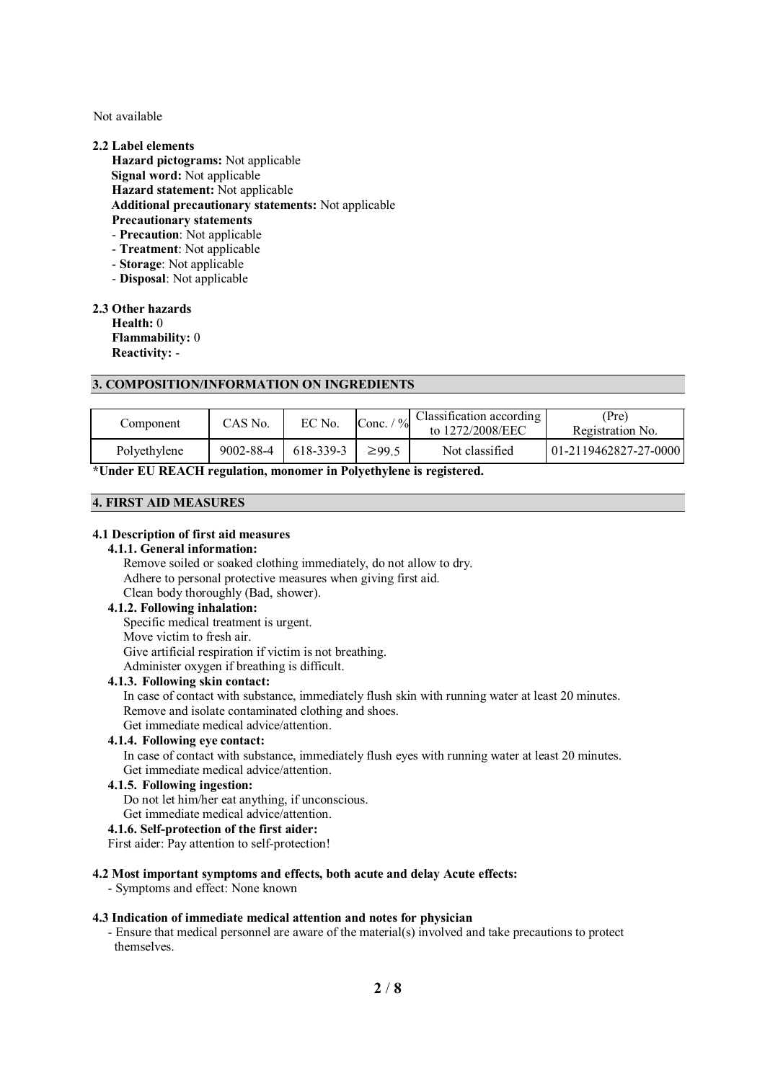Not available

#### **2.2 Label elements**

**Hazard pictograms:** Not applicable **Signal word:** Not applicable **Hazard statement:** Not applicable **Additional precautionary statements:** Not applicable **Precautionary statements** - **Precaution**: Not applicable - **Treatment**: Not applicable - **Storage**: Not applicable

- **Disposal**: Not applicable

**2.3 Other hazards**

**Health:** 0 **Flammability:** 0 **Reactivity:** -

#### **3. COMPOSITION/INFORMATION ON INGREDIENTS**

| Component    | CAS No.   | EC No.    | $\frac{0}{0}$<br>Conc. | Classification according<br>to 1272/2008/EEC | (Pre)<br>Registration No. |
|--------------|-----------|-----------|------------------------|----------------------------------------------|---------------------------|
| Polyethylene | 9002-88-4 | 618-339-3 | $\geq$ 99.5            | Not classified                               | $101-2119462827-27-0000$  |

**\*Under EU REACH regulation, monomer in Polyethylene is registered.**

#### **4. FIRST AID MEASURES**

#### **4.1 Description of first aid measures**

# **4.1.1. General information:**

Remove soiled or soaked clothing immediately, do not allow to dry. Adhere to personal protective measures when giving first aid. Clean body thoroughly (Bad, shower).

# **4.1.2. Following inhalation:**

Specific medical treatment is urgent. Move victim to fresh air. Give artificial respiration if victim is not breathing. Administer oxygen if breathing is difficult.

#### **4.1.3. Following skin contact:**

In case of contact with substance, immediately flush skin with running water at least 20 minutes. Remove and isolate contaminated clothing and shoes.

Get immediate medical advice/attention.

# **4.1.4. Following eye contact:**

In case of contact with substance, immediately flush eyes with running water at least 20 minutes. Get immediate medical advice/attention.

#### **4.1.5. Following ingestion:**

Do not let him/her eat anything, if unconscious.

Get immediate medical advice/attention.

#### **4.1.6. Self-protection of the first aider:**

First aider: Pay attention to self-protection!

#### **4.2 Most important symptoms and effects, both acute and delay Acute effects:**

- Symptoms and effect: None known

#### **4.3 Indication of immediate medical attention and notes for physician**

- Ensure that medical personnel are aware of the material(s) involved and take precautions to protect themselves.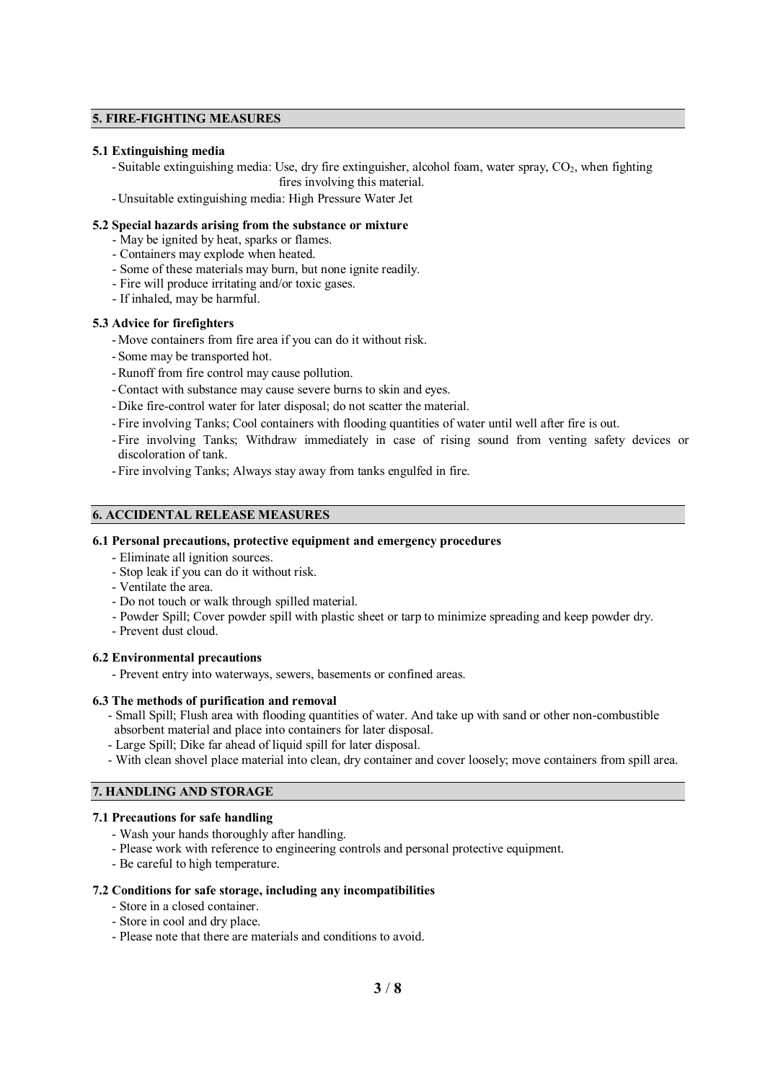# **5. FIRE-FIGHTING MEASURES**

# **5.1 Extinguishing media**

- Suitable extinguishing media: Use, dry fire extinguisher, alcohol foam, water spray, CO<sub>2</sub>, when fighting fires involving this material.

-Unsuitable extinguishing media: High Pressure Water Jet

# **5.2 Special hazards arising from the substance or mixture**

- May be ignited by heat, sparks or flames.
- Containers may explode when heated.
- Some of these materials may burn, but none ignite readily.
- Fire will produce irritating and/or toxic gases.
- If inhaled, may be harmful.

# **5.3 Advice for firefighters**

- -Move containers from fire area if you can do it without risk.
- Some may be transported hot.
- -Runoff from fire control may cause pollution.
- -Contact with substance may cause severe burns to skin and eyes.
- -Dike fire-control water for later disposal; do not scatter the material.
- Fire involving Tanks; Cool containers with flooding quantities of water until well after fire is out.
- Fire involving Tanks; Withdraw immediately in case of rising sound from venting safety devices or discoloration of tank.
- Fire involving Tanks; Always stay away from tanks engulfed in fire.

# **6. ACCIDENTAL RELEASE MEASURES**

#### **6.1 Personal precautions, protective equipment and emergency procedures**

- Eliminate all ignition sources.
- Stop leak if you can do it without risk.
- Ventilate the area.
- Do not touch or walk through spilled material.
- Powder Spill; Cover powder spill with plastic sheet or tarp to minimize spreading and keep powder dry. - Prevent dust cloud.
- 

# **6.2 Environmental precautions**

- Prevent entry into waterways, sewers, basements or confined areas.

#### **6.3 The methods of purification and removal**

- Small Spill; Flush area with flooding quantities of water. And take up with sand or other non-combustible absorbent material and place into containers for later disposal.
- Large Spill; Dike far ahead of liquid spill for later disposal.
- With clean shovel place material into clean, dry container and cover loosely; move containers from spill area.

# **7. HANDLING AND STORAGE**

# **7.1 Precautions for safe handling**

- Wash your hands thoroughly after handling.
- Please work with reference to engineering controls and personal protective equipment.
- Be careful to high temperature.

#### **7.2 Conditions for safe storage, including any incompatibilities**

- Store in a closed container.
- Store in cool and dry place.
- Please note that there are materials and conditions to avoid.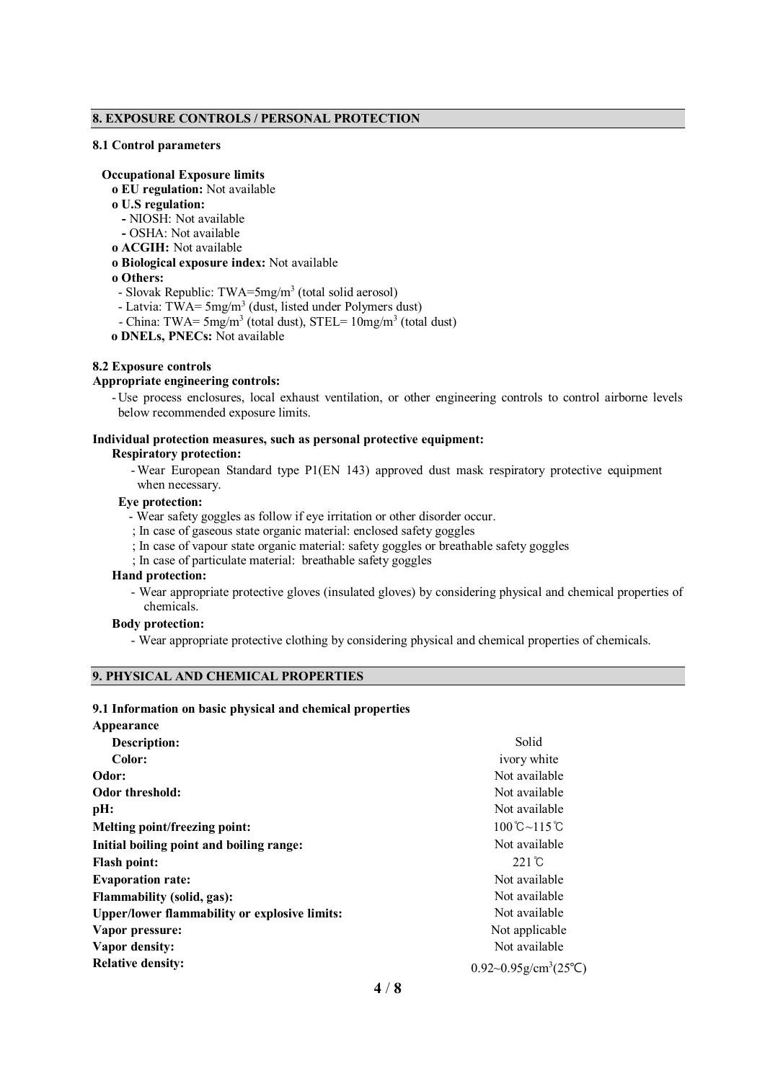# **8. EXPOSURE CONTROLS / PERSONAL PROTECTION**

#### **8.1 Control parameters**

#### **Occupational Exposure limits**

- **ο EU regulation:** Not available
- **ο U.S regulation:**
	- **-** NIOSH: Not available
- **-** OSHA: Not available
- **ο ACGIH:** Not available
- **ο Biological exposure index:** Not available
- **ο Others:**
- Slovak Republic: TWA=5mg/m<sup>3</sup> (total solid aerosol)
- Latvia: TWA=  $5mg/m<sup>3</sup>$  (dust, listed under Polymers dust)
- China: TWA=  $5mg/m<sup>3</sup>$  (total dust), STEL=  $10mg/m<sup>3</sup>$  (total dust)
- **ο DNELs, PNECs:** Not available

#### **8.2 Exposure controls**

#### **Appropriate engineering controls:**

-Use process enclosures, local exhaust ventilation, or other engineering controls to control airborne levels below recommended exposure limits.

#### **Individual protection measures, such as personal protective equipment:**

#### **Respiratory protection:**

-Wear European Standard type P1(EN 143) approved dust mask respiratory protective equipment when necessary.

# **Eye protection:**

- Wear safety goggles as follow if eye irritation or other disorder occur.
- ; In case of gaseous state organic material: enclosed safety goggles
- ; In case of vapour state organic material: safety goggles or breathable safety goggles
- ; In case of particulate material: breathable safety goggles

#### **Hand protection:**

- Wear appropriate protective gloves (insulated gloves) by considering physical and chemical properties of chemicals.

# **Body protection:**

- Wear appropriate protective clothing by considering physical and chemical properties of chemicals.

# **9. PHYSICAL AND CHEMICAL PROPERTIES**

# **9.1 Information on basic physical and chemical properties**

| Appearance                                           |                                                        |
|------------------------------------------------------|--------------------------------------------------------|
| <b>Description:</b>                                  | Solid                                                  |
| Color:                                               | ivory white                                            |
| Odor:                                                | Not available                                          |
| Odor threshold:                                      | Not available                                          |
| pH:                                                  | Not available                                          |
| Melting point/freezing point:                        | $100^{\circ}$ C~115 $^{\circ}$ C                       |
| Initial boiling point and boiling range:             | Not available                                          |
| <b>Flash point:</b>                                  | $221^{\circ}$ C                                        |
| <b>Evaporation rate:</b>                             | Not available                                          |
| Flammability (solid, gas):                           | Not available                                          |
| <b>Upper/lower flammability or explosive limits:</b> | Not available                                          |
| Vapor pressure:                                      | Not applicable                                         |
| Vapor density:                                       | Not available                                          |
| <b>Relative density:</b>                             | $0.92 \sim 0.95$ g/cm <sup>3</sup> (25 <sup>o</sup> C) |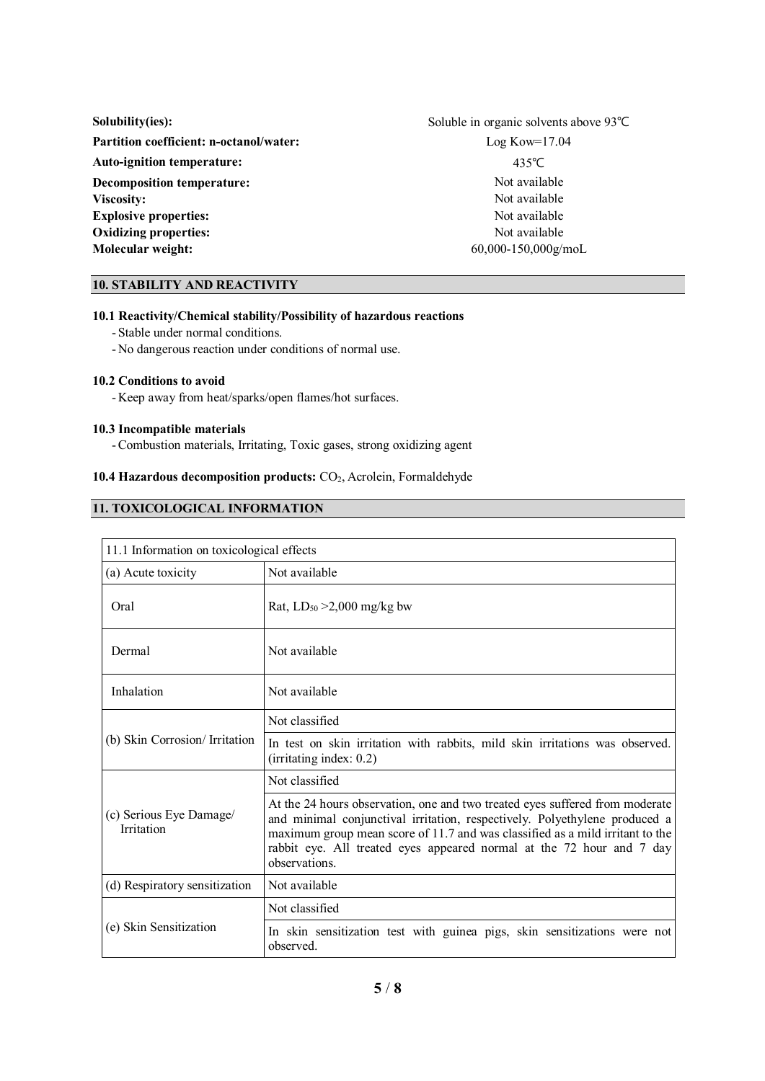| Solubility(ies):                               | Soluble in organic solvents above 93°C |  |
|------------------------------------------------|----------------------------------------|--|
| <b>Partition coefficient: n-octanol/water:</b> | $Log Kow=17.04$                        |  |
| <b>Auto-ignition temperature:</b>              | 435°C                                  |  |
| Decomposition temperature:                     | Not available                          |  |
| Viscosity:                                     | Not available                          |  |
| <b>Explosive properties:</b>                   | Not available                          |  |
| <b>Oxidizing properties:</b>                   | Not available                          |  |
| Molecular weight:                              | $60,000 - 150,000$ g/moL               |  |

# **10. STABILITY AND REACTIVITY**

# **10.1 Reactivity/Chemical stability/Possibility of hazardous reactions**

- Stable under normal conditions.
- -No dangerous reaction under conditions of normal use.

#### **10.2 Conditions to avoid**

-Keep away from heat/sparks/open flames/hot surfaces.

# **10.3 Incompatible materials**

-Combustion materials, Irritating, Toxic gases, strong oxidizing agent

# 10.4 **Hazardous decomposition products:** CO<sub>2</sub>, Acrolein, Formaldehyde

# **11. TOXICOLOGICAL INFORMATION**

| 11.1 Information on toxicological effects |                                                                                                                                                                                                                                                                                                                                       |  |
|-------------------------------------------|---------------------------------------------------------------------------------------------------------------------------------------------------------------------------------------------------------------------------------------------------------------------------------------------------------------------------------------|--|
| (a) Acute toxicity                        | Not available                                                                                                                                                                                                                                                                                                                         |  |
| Oral                                      | Rat, $LD_{50} > 2,000$ mg/kg bw                                                                                                                                                                                                                                                                                                       |  |
| Dermal                                    | Not available                                                                                                                                                                                                                                                                                                                         |  |
| Inhalation                                | Not available                                                                                                                                                                                                                                                                                                                         |  |
| (b) Skin Corrosion/ Irritation            | Not classified                                                                                                                                                                                                                                                                                                                        |  |
|                                           | In test on skin irritation with rabbits, mild skin irritations was observed.<br>(irritating index: 0.2)                                                                                                                                                                                                                               |  |
| (c) Serious Eye Damage/<br>Irritation     | Not classified                                                                                                                                                                                                                                                                                                                        |  |
|                                           | At the 24 hours observation, one and two treated eyes suffered from moderate<br>and minimal conjunctival irritation, respectively. Polyethylene produced a<br>maximum group mean score of 11.7 and was classified as a mild irritant to the<br>rabbit eye. All treated eyes appeared normal at the 72 hour and 7 day<br>observations. |  |
| (d) Respiratory sensitization             | Not available                                                                                                                                                                                                                                                                                                                         |  |
| (e) Skin Sensitization                    | Not classified                                                                                                                                                                                                                                                                                                                        |  |
|                                           | In skin sensitization test with guinea pigs, skin sensitizations were not<br>observed.                                                                                                                                                                                                                                                |  |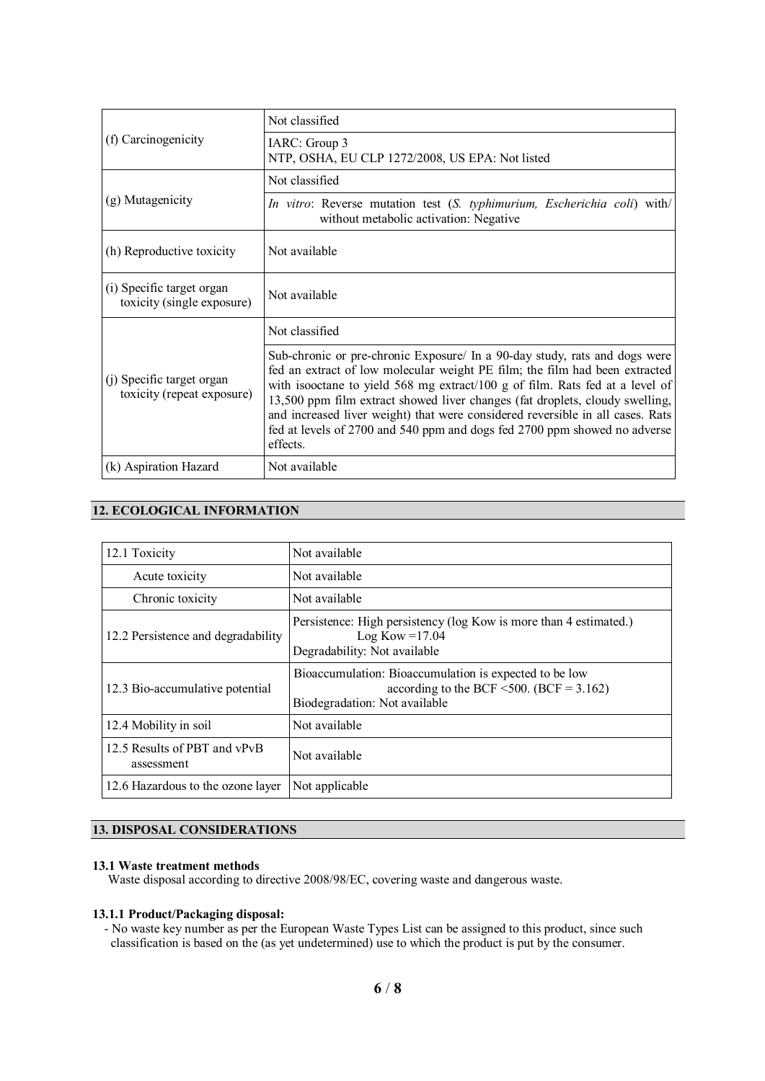| (f) Carcinogenicity                                     | Not classified                                                                                                                                                                                                                                                                                                                                                                                                                                                                                       |
|---------------------------------------------------------|------------------------------------------------------------------------------------------------------------------------------------------------------------------------------------------------------------------------------------------------------------------------------------------------------------------------------------------------------------------------------------------------------------------------------------------------------------------------------------------------------|
|                                                         | IARC: Group 3<br>NTP, OSHA, EU CLP 1272/2008, US EPA: Not listed                                                                                                                                                                                                                                                                                                                                                                                                                                     |
| (g) Mutagenicity                                        | Not classified                                                                                                                                                                                                                                                                                                                                                                                                                                                                                       |
|                                                         | In vitro: Reverse mutation test (S. typhimurium, Escherichia coli) with/<br>without metabolic activation: Negative                                                                                                                                                                                                                                                                                                                                                                                   |
| (h) Reproductive toxicity                               | Not available                                                                                                                                                                                                                                                                                                                                                                                                                                                                                        |
| (i) Specific target organ<br>toxicity (single exposure) | Not available                                                                                                                                                                                                                                                                                                                                                                                                                                                                                        |
| (j) Specific target organ<br>toxicity (repeat exposure) | Not classified                                                                                                                                                                                                                                                                                                                                                                                                                                                                                       |
|                                                         | Sub-chronic or pre-chronic Exposure/ In a 90-day study, rats and dogs were<br>fed an extract of low molecular weight PE film; the film had been extracted<br>with isooctane to yield 568 mg extract/100 g of film. Rats fed at a level of<br>13,500 ppm film extract showed liver changes (fat droplets, cloudy swelling,<br>and increased liver weight) that were considered reversible in all cases. Rats<br>fed at levels of 2700 and 540 ppm and dogs fed 2700 ppm showed no adverse<br>effects. |
| (k) Aspiration Hazard                                   | Not available                                                                                                                                                                                                                                                                                                                                                                                                                                                                                        |

# **12. ECOLOGICAL INFORMATION**

| 12.1 Toxicity                              | Not available                                                                                                                              |
|--------------------------------------------|--------------------------------------------------------------------------------------------------------------------------------------------|
| Acute toxicity                             | Not available                                                                                                                              |
| Chronic toxicity                           | Not available                                                                                                                              |
| 12.2 Persistence and degradability         | Persistence: High persistency (log Kow is more than 4 estimated.)<br>Log Kow = $17.04$<br>Degradability: Not available                     |
| 12.3 Bio-accumulative potential            | Bioaccumulation: Bioaccumulation is expected to be low<br>according to the BCF $\leq 500$ . (BCF = 3.162)<br>Biodegradation: Not available |
| 12.4 Mobility in soil                      | Not available                                                                                                                              |
| 12.5 Results of PBT and vPvB<br>assessment | Not available                                                                                                                              |
| 12.6 Hazardous to the ozone layer          | Not applicable                                                                                                                             |

# **13. DISPOSAL CONSIDERATIONS**

# **13.1 Waste treatment methods**

Waste disposal according to directive 2008/98/EC, covering waste and dangerous waste.

# **13.1.1 Product/Packaging disposal:**

- No waste key number as per the European Waste Types List can be assigned to this product, since such classification is based on the (as yet undetermined) use to which the product is put by the consumer.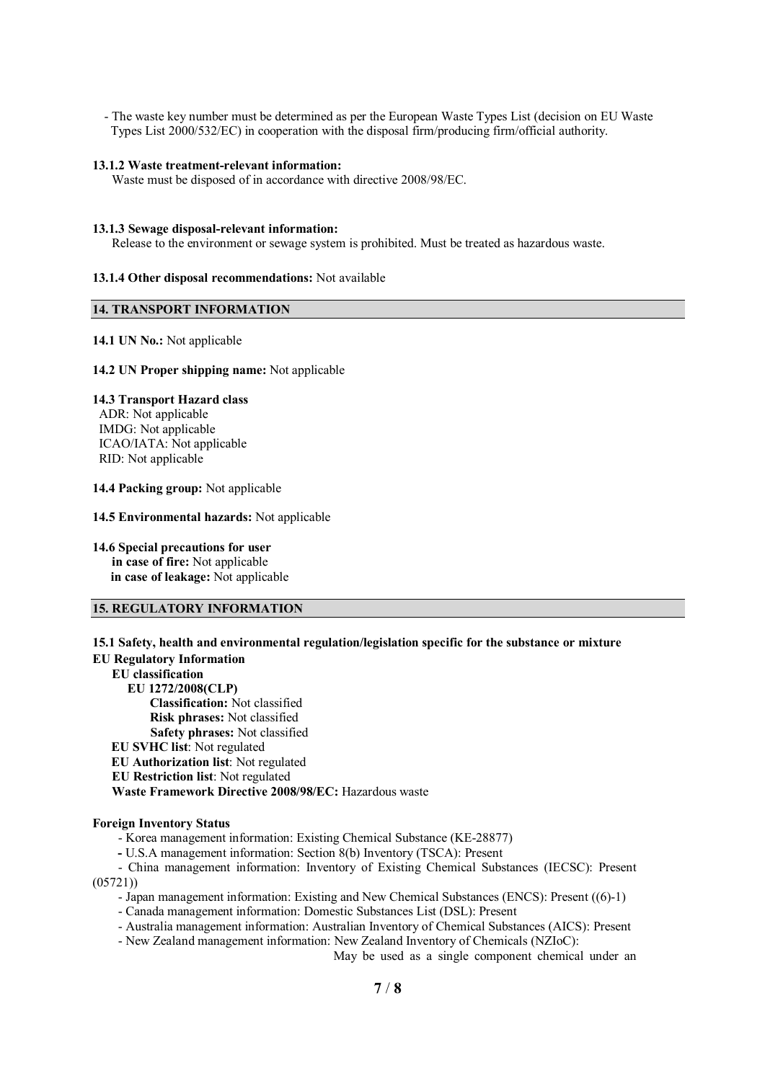- The waste key number must be determined as per the European Waste Types List (decision on EU Waste Types List 2000/532/EC) in cooperation with the disposal firm/producing firm/official authority.

#### **13.1.2 Waste treatment-relevant information:**

Waste must be disposed of in accordance with directive 2008/98/EC.

#### **13.1.3 Sewage disposal-relevant information:**

Release to the environment or sewage system is prohibited. Must be treated as hazardous waste.

## **13.1.4 Other disposal recommendations:** Not available

# **14. TRANSPORT INFORMATION**

## **14.1 UN No.:** Not applicable

#### **14.2 UN Proper shipping name:** Not applicable

# **14.3 Transport Hazard class**

ADR: Not applicable IMDG: Not applicable ICAO/IATA: Not applicable RID: Not applicable

#### **14.4 Packing group:** Not applicable

#### **14.5 Environmental hazards:** Not applicable

# **14.6 Special precautions for user**

**in case of fire:** Not applicable **in case of leakage:** Not applicable

# **15. REGULATORY INFORMATION**

- Korea management information: Existing Chemical Substance (KE-28877)

**-** U.S.A management information: Section 8(b) Inventory (TSCA): Present

- China management information: Inventory of Existing Chemical Substances (IECSC): Present (05721))

- Japan management information: Existing and New Chemical Substances (ENCS): Present ((6)-1)
- Canada management information: Domestic Substances List (DSL): Present
- Australia management information: Australian Inventory of Chemical Substances (AICS): Present
- New Zealand management information: New Zealand Inventory of Chemicals (NZIoC):

May be used as a single component chemical under an